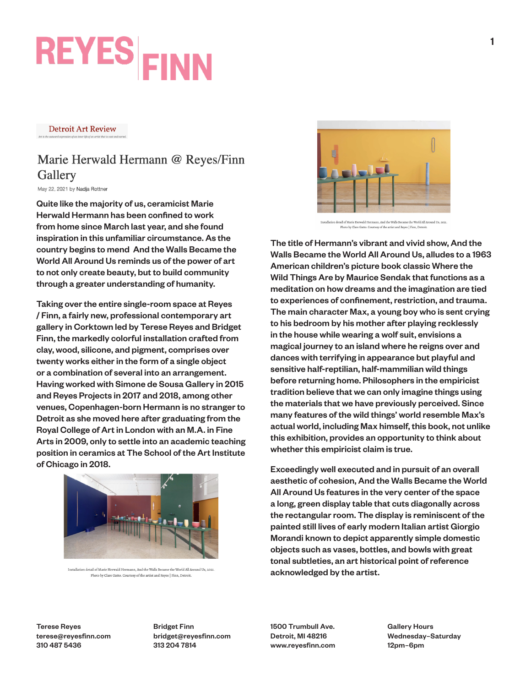# **REYES FINN**

**Detroit Art Review** 

#### Marie Herwald Hermann @ Reyes/Finn Gallery

May 22, 2021 by Nadja Rottner

Quite like the majority of us, ceramicist Marie Herwald Hermann has been confined to work from home since March last year, and she found inspiration in this unfamiliar circumstance. As the country begins to mend And the Walls Became the World All Around Us reminds us of the power of art to not only create beauty, but to build community through a greater understanding of humanity.

Taking over the entire single-room space at Reyes / Finn, a fairly new, professional contemporary art gallery in Corktown led by Terese Reyes and Bridget Finn, the markedly colorful installation crafted from clay, wood, silicone, and pigment, comprises over twenty works either in the form of a single object or a combination of several into an arrangement. Having worked with Simone de Sousa Gallery in 2015 and Reyes Projects in 2017 and 2018, among other venues, Copenhagen-born Hermann is no stranger to Detroit as she moved here after graduating from the Royal College of Art in London with an M.A. in Fine Arts in 2009, only to settle into an academic teaching position in ceramics at The School of the Art Institute of Chicago in 2018.



Installation detail of Marie Herwald Hermann, And the Walls Became the World All Around Us, 2021 Photo by Clare Gatto. Courtesy of the artist and Reyes | Finn, Detroit



Installation detail of Marie Herwald Hermann, And the Walls Became the World All Around Us, 2021 |<br>Photo by Clare Gatto. Courtesy of the artist and Reyes | Finn, Detroi

The title of Hermann's vibrant and vivid show, And the Walls Became the World All Around Us, alludes to a 1963 American children's picture book classic Where the Wild Things Are by Maurice Sendak that functions as a meditation on how dreams and the imagination are tied to experiences of confinement, restriction, and trauma. The main character Max, a young boy who is sent crying to his bedroom by his mother after playing recklessly in the house while wearing a wolf suit, envisions a magical journey to an island where he reigns over and dances with terrifying in appearance but playful and sensitive half-reptilian, half-mammilian wild things before returning home. Philosophers in the empiricist tradition believe that we can only imagine things using the materials that we have previously perceived. Since many features of the wild things' world resemble Max's actual world, including Max himself, this book, not unlike this exhibition, provides an opportunity to think about whether this empiricist claim is true.

Exceedingly well executed and in pursuit of an overall aesthetic of cohesion, And the Walls Became the World All Around Us features in the very center of the space a long, green display table that cuts diagonally across the rectangular room. The display is reminiscent of the painted still lives of early modern Italian artist Giorgio Morandi known to depict apparently simple domestic objects such as vases, bottles, and bowls with great tonal subtleties, an art historical point of reference acknowledged by the artist.

Terese Reyes terese@reyesfinn.com 310 487 5436

Bridget Finn bridget@reyesfinn.com 313 204 7814

1500 Trumbull Ave. Detroit, MI 48216 www.reyesfinn.com Gallery Hours Wednesday–Saturday 12pm–6pm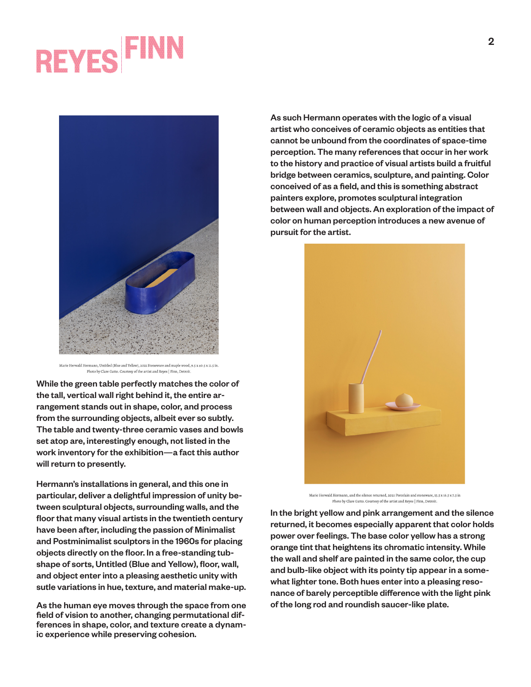### **REYES**FI



Marie Herwald Hermann, Untitled (Blue and Yellow), 2021 Stoneware and maple wood, 9.5 x 40.5 x 11.5 in Photo by Clare Gatto. Courtesy of the artist and Reyes | Finn, Detroit.

While the green table perfectly matches the color of the tall, vertical wall right behind it, the entire arrangement stands out in shape, color, and process from the surrounding objects, albeit ever so subtly. The table and twenty-three ceramic vases and bowls set atop are, interestingly enough, not listed in the work inventory for the exhibition—a fact this author will return to presently.

Hermann's installations in general, and this one in particular, deliver a delightful impression of unity between sculptural objects, surrounding walls, and the floor that many visual artists in the twentieth century have been after, including the passion of Minimalist and Postminimalist sculptors in the 1960s for placing objects directly on the floor. In a free-standing tubshape of sorts, Untitled (Blue and Yellow), floor, wall, and object enter into a pleasing aesthetic unity with sutle variations in hue, texture, and material make-up.

As the human eye moves through the space from one field of vision to another, changing permutational differences in shape, color, and texture create a dynamic experience while preserving cohesion.

As such Hermann operates with the logic of a visual artist who conceives of ceramic objects as entities that cannot be unbound from the coordinates of space-time perception. The many references that occur in her work to the history and practice of visual artists build a fruitful bridge between ceramics, sculpture, and painting. Color conceived of as a field, and this is something abstract painters explore, promotes sculptural integration between wall and objects. An exploration of the impact of color on human perception introduces a new avenue of pursuit for the artist.



.<br>Marie Herwald Hermann, and the silence returned, 2021 Porcelain and stoneware, 15.5 x 16.5 x 7.5 in Photo by Clare Gatto. Courtesy of the artist and Reyes | Finn, Detroit

In the bright yellow and pink arrangement and the silence returned, it becomes especially apparent that color holds power over feelings. The base color yellow has a strong orange tint that heightens its chromatic intensity. While the wall and shelf are painted in the same color, the cup and bulb-like object with its pointy tip appear in a somewhat lighter tone. Both hues enter into a pleasing resonance of barely perceptible difference with the light pink of the long rod and roundish saucer-like plate.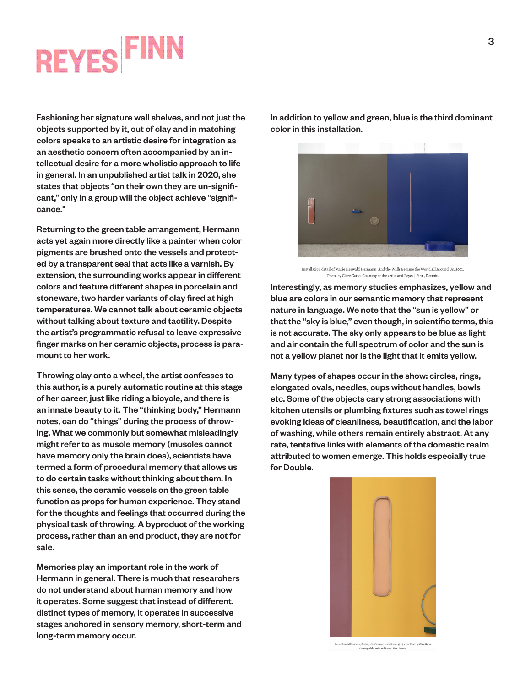#### **REYES**FI

Fashioning her signature wall shelves, and not just the objects supported by it, out of clay and in matching colors speaks to an artistic desire for integration as an aesthetic concern often accompanied by an intellectual desire for a more wholistic approach to life in general. In an unpublished artist talk in 2020, she states that objects "on their own they are un-significant," only in a group will the object achieve "significance."

Returning to the green table arrangement, Hermann acts yet again more directly like a painter when color pigments are brushed onto the vessels and protected by a transparent seal that acts like a varnish. By extension, the surrounding works appear in different colors and feature different shapes in porcelain and stoneware, two harder variants of clay fired at high temperatures. We cannot talk about ceramic objects without talking about texture and tactility. Despite the artist's programmatic refusal to leave expressive finger marks on her ceramic objects, process is paramount to her work.

Throwing clay onto a wheel, the artist confesses to this author, is a purely automatic routine at this stage of her career, just like riding a bicycle, and there is an innate beauty to it. The "thinking body," Hermann notes, can do "things" during the process of throwing. What we commonly but somewhat misleadingly might refer to as muscle memory (muscles cannot have memory only the brain does), scientists have termed a form of procedural memory that allows us to do certain tasks without thinking about them. In this sense, the ceramic vessels on the green table function as props for human experience. They stand for the thoughts and feelings that occurred during the physical task of throwing. A byproduct of the working process, rather than an end product, they are not for sale.

Memories play an important role in the work of Hermann in general. There is much that researchers do not understand about human memory and how it operates. Some suggest that instead of different, distinct types of memory, it operates in successive stages anchored in sensory memory, short-term and long-term memory occur.

In addition to yellow and green, blue is the third dominant color in this installation.



Installation detail of Marie Herwald Hermann, And the Walls Became the World All Around Us, 2021 Photo by Clare Gatto. Courtesy of the artist and Reyes | Finn, Detroit

Interestingly, as memory studies emphasizes, yellow and blue are colors in our semantic memory that represent nature in language. We note that the "sun is yellow" or that the "sky is blue," even though, in scientific terms, this is not accurate. The sky only appears to be blue as light and air contain the full spectrum of color and the sun is not a yellow planet nor is the light that it emits yellow.

Many types of shapes occur in the show: circles, rings, elongated ovals, needles, cups without handles, bowls etc. Some of the objects cary strong associations with kitchen utensils or plumbing fixtures such as towel rings evoking ideas of cleanliness, beautification, and the labor of washing, while others remain entirely abstract. At any rate, tentative links with elements of the domestic realm attributed to women emerge. This holds especially true for Double.



, 2021 Oakwood and silicone, 47 x 9 x 1 in. Pho<br>of the artist and Reyes | Finn, Detroit.